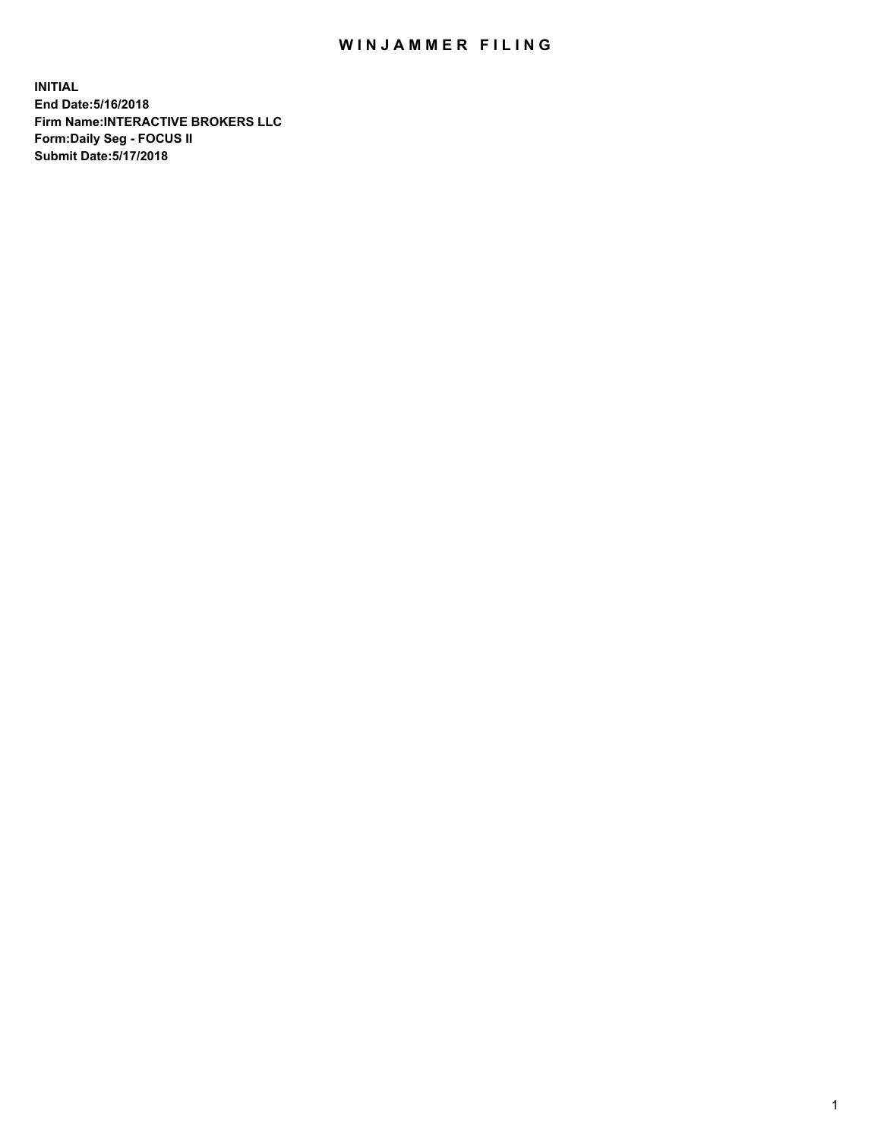## WIN JAMMER FILING

**INITIAL End Date:5/16/2018 Firm Name:INTERACTIVE BROKERS LLC Form:Daily Seg - FOCUS II Submit Date:5/17/2018**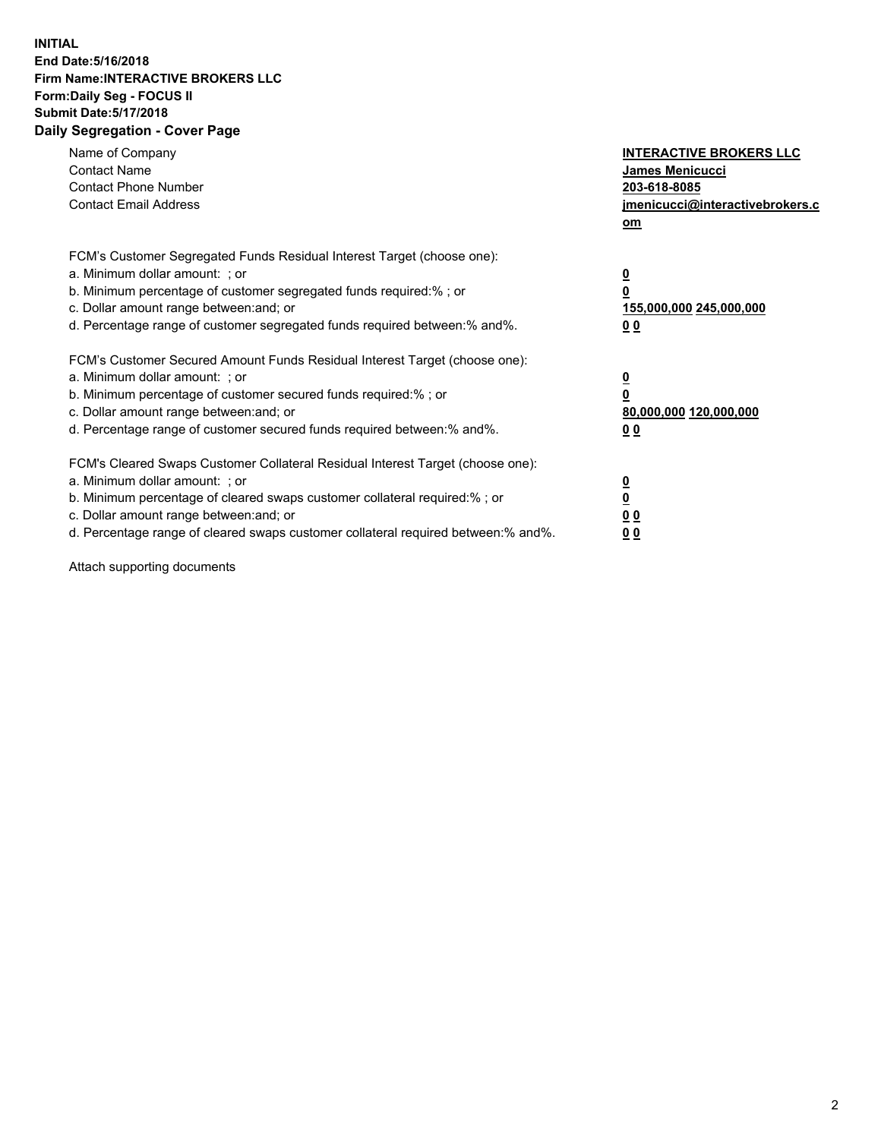## **INITIAL End Date:5/16/2018 Firm Name:INTERACTIVE BROKERS LLC Form:Daily Seg - FOCUS II Submit Date:5/17/2018 Daily Segregation - Cover Page**

| Name of Company<br><b>Contact Name</b><br><b>Contact Phone Number</b><br><b>Contact Email Address</b>                                                                                                                                                                                                                          | <b>INTERACTIVE BROKERS LLC</b><br><b>James Menicucci</b><br>203-618-8085<br>jmenicucci@interactivebrokers.c<br>om |
|--------------------------------------------------------------------------------------------------------------------------------------------------------------------------------------------------------------------------------------------------------------------------------------------------------------------------------|-------------------------------------------------------------------------------------------------------------------|
| FCM's Customer Segregated Funds Residual Interest Target (choose one):<br>a. Minimum dollar amount: ; or<br>b. Minimum percentage of customer segregated funds required:% ; or<br>c. Dollar amount range between: and; or<br>d. Percentage range of customer segregated funds required between: % and %.                       | $\overline{\mathbf{0}}$<br>0<br>155,000,000 245,000,000<br>00                                                     |
| FCM's Customer Secured Amount Funds Residual Interest Target (choose one):<br>a. Minimum dollar amount: ; or<br>b. Minimum percentage of customer secured funds required:%; or<br>c. Dollar amount range between: and; or<br>d. Percentage range of customer secured funds required between: % and %.                          | $\overline{\mathbf{0}}$<br>0<br>80,000,000 120,000,000<br>00                                                      |
| FCM's Cleared Swaps Customer Collateral Residual Interest Target (choose one):<br>a. Minimum dollar amount: ; or<br>b. Minimum percentage of cleared swaps customer collateral required:% ; or<br>c. Dollar amount range between: and; or<br>d. Percentage range of cleared swaps customer collateral required between:% and%. | $\overline{\mathbf{0}}$<br>$\overline{\mathbf{0}}$<br>00<br>0 <sub>0</sub>                                        |

Attach supporting documents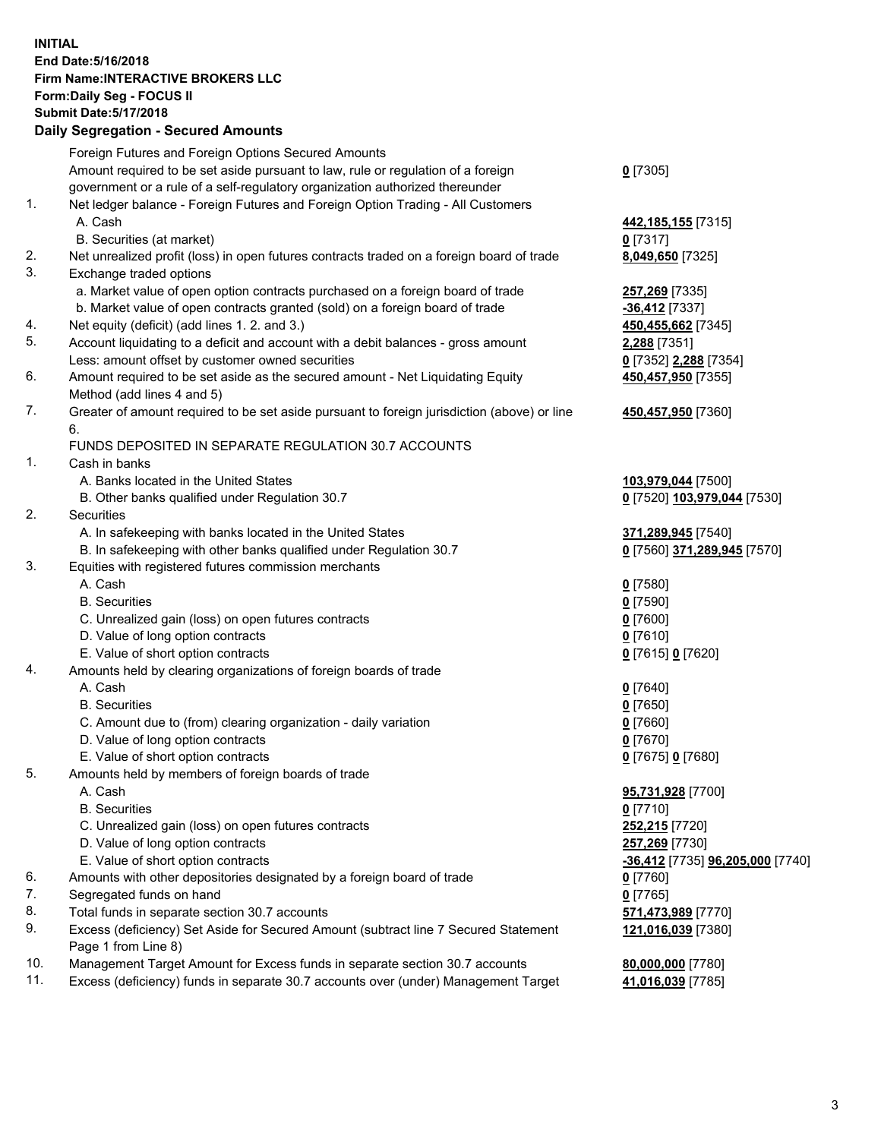## **INITIAL End Date:5/16/2018 Firm Name:INTERACTIVE BROKERS LLC Form:Daily Seg - FOCUS II Submit Date:5/17/2018 Daily Segregation - Secured Amounts**

|                | Daily Ocglegation - Occuled Amounts                                                                        |                                  |
|----------------|------------------------------------------------------------------------------------------------------------|----------------------------------|
|                | Foreign Futures and Foreign Options Secured Amounts                                                        |                                  |
|                | Amount required to be set aside pursuant to law, rule or regulation of a foreign                           | $0$ [7305]                       |
|                | government or a rule of a self-regulatory organization authorized thereunder                               |                                  |
| 1.             | Net ledger balance - Foreign Futures and Foreign Option Trading - All Customers                            |                                  |
|                | A. Cash                                                                                                    | 442,185,155 [7315]               |
|                | B. Securities (at market)                                                                                  | $0$ [7317]                       |
| 2.             | Net unrealized profit (loss) in open futures contracts traded on a foreign board of trade                  | 8,049,650 [7325]                 |
| 3.             | Exchange traded options                                                                                    |                                  |
|                | a. Market value of open option contracts purchased on a foreign board of trade                             | 257,269 [7335]                   |
|                | b. Market value of open contracts granted (sold) on a foreign board of trade                               | $-36,412$ [7337]                 |
| 4.             | Net equity (deficit) (add lines 1.2. and 3.)                                                               | 450,455,662 [7345]               |
| 5.             | Account liquidating to a deficit and account with a debit balances - gross amount                          | 2,288 [7351]                     |
|                | Less: amount offset by customer owned securities                                                           | 0 [7352] 2,288 [7354]            |
| 6.             | Amount required to be set aside as the secured amount - Net Liquidating Equity                             | 450,457,950 [7355]               |
|                | Method (add lines 4 and 5)                                                                                 |                                  |
| 7.             | Greater of amount required to be set aside pursuant to foreign jurisdiction (above) or line                | 450,457,950 [7360]               |
|                | 6.                                                                                                         |                                  |
|                | FUNDS DEPOSITED IN SEPARATE REGULATION 30.7 ACCOUNTS                                                       |                                  |
| $\mathbf{1}$ . | Cash in banks                                                                                              |                                  |
|                | A. Banks located in the United States                                                                      | 103,979,044 [7500]               |
|                | B. Other banks qualified under Regulation 30.7                                                             | 0 [7520] 103,979,044 [7530]      |
| 2.             | Securities                                                                                                 |                                  |
|                | A. In safekeeping with banks located in the United States                                                  | 371,289,945 [7540]               |
|                | B. In safekeeping with other banks qualified under Regulation 30.7                                         | 0 [7560] 371,289,945 [7570]      |
| 3.             | Equities with registered futures commission merchants                                                      |                                  |
|                | A. Cash                                                                                                    | $0$ [7580]                       |
|                | <b>B.</b> Securities                                                                                       | $0$ [7590]                       |
|                | C. Unrealized gain (loss) on open futures contracts                                                        | $0$ [7600]                       |
|                | D. Value of long option contracts                                                                          | $0$ [7610]                       |
|                | E. Value of short option contracts                                                                         | 0 [7615] 0 [7620]                |
| 4.             | Amounts held by clearing organizations of foreign boards of trade                                          |                                  |
|                | A. Cash                                                                                                    | $0$ [7640]                       |
|                | <b>B.</b> Securities                                                                                       | $0$ [7650]                       |
|                | C. Amount due to (from) clearing organization - daily variation                                            | $0$ [7660]                       |
|                | D. Value of long option contracts                                                                          | $0$ [7670]                       |
|                | E. Value of short option contracts                                                                         | 0 [7675] 0 [7680]                |
| 5.             | Amounts held by members of foreign boards of trade                                                         |                                  |
|                | A. Cash                                                                                                    | 95,731,928 [7700]                |
|                | <b>B.</b> Securities                                                                                       | $0$ [7710]                       |
|                | C. Unrealized gain (loss) on open futures contracts                                                        | 252,215 [7720]                   |
|                | D. Value of long option contracts                                                                          | 257,269 [7730]                   |
|                | E. Value of short option contracts                                                                         | -36,412 [7735] 96,205,000 [7740] |
| 6.             | Amounts with other depositories designated by a foreign board of trade                                     | 0 [7760]                         |
| 7.             | Segregated funds on hand                                                                                   | $0$ [7765]                       |
| 8.             | Total funds in separate section 30.7 accounts                                                              | 571,473,989 [7770]               |
| 9.             | Excess (deficiency) Set Aside for Secured Amount (subtract line 7 Secured Statement<br>Page 1 from Line 8) | 121,016,039 [7380]               |
| 10.            | Management Target Amount for Excess funds in separate section 30.7 accounts                                | 80,000,000 [7780]                |
| 11.            | Excess (deficiency) funds in separate 30.7 accounts over (under) Management Target                         | 41,016,039 [7785]                |
|                |                                                                                                            |                                  |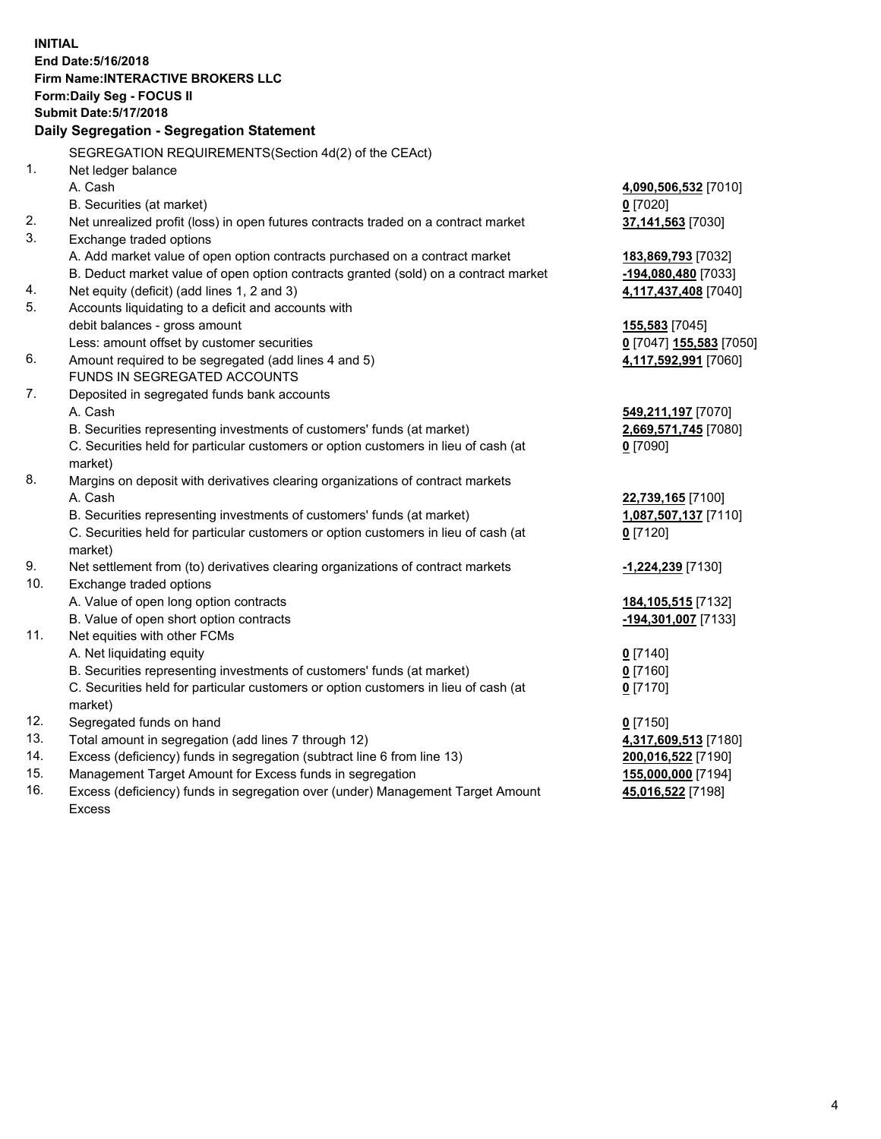**INITIAL End Date:5/16/2018 Firm Name:INTERACTIVE BROKERS LLC Form:Daily Seg - FOCUS II Submit Date:5/17/2018 Daily Segregation - Segregation Statement** SEGREGATION REQUIREMENTS(Section 4d(2) of the CEAct) 1. Net ledger balance A. Cash **4,090,506,532** [7010] B. Securities (at market) **0** [7020] 2. Net unrealized profit (loss) in open futures contracts traded on a contract market **37,141,563** [7030] 3. Exchange traded options A. Add market value of open option contracts purchased on a contract market **183,869,793** [7032] B. Deduct market value of open option contracts granted (sold) on a contract market **-194,080,480** [7033] 4. Net equity (deficit) (add lines 1, 2 and 3) **4,117,437,408** [7040] 5. Accounts liquidating to a deficit and accounts with debit balances - gross amount **155,583** [7045] Less: amount offset by customer securities **0** [7047] **155,583** [7050] 6. Amount required to be segregated (add lines 4 and 5) **4,117,592,991** [7060] FUNDS IN SEGREGATED ACCOUNTS 7. Deposited in segregated funds bank accounts A. Cash **549,211,197** [7070] B. Securities representing investments of customers' funds (at market) **2,669,571,745** [7080] C. Securities held for particular customers or option customers in lieu of cash (at market) **0** [7090] 8. Margins on deposit with derivatives clearing organizations of contract markets A. Cash **22,739,165** [7100] B. Securities representing investments of customers' funds (at market) **1,087,507,137** [7110] C. Securities held for particular customers or option customers in lieu of cash (at market) **0** [7120] 9. Net settlement from (to) derivatives clearing organizations of contract markets **-1,224,239** [7130] 10. Exchange traded options A. Value of open long option contracts **184,105,515** [7132] B. Value of open short option contracts **-194,301,007** [7133] 11. Net equities with other FCMs A. Net liquidating equity **0** [7140] B. Securities representing investments of customers' funds (at market) **0** [7160] C. Securities held for particular customers or option customers in lieu of cash (at market) **0** [7170] 12. Segregated funds on hand **0** [7150] 13. Total amount in segregation (add lines 7 through 12) **4,317,609,513** [7180] 14. Excess (deficiency) funds in segregation (subtract line 6 from line 13) **200,016,522** [7190] 15. Management Target Amount for Excess funds in segregation **155,000,000** [7194] **45,016,522** [7198]

16. Excess (deficiency) funds in segregation over (under) Management Target Amount Excess

4